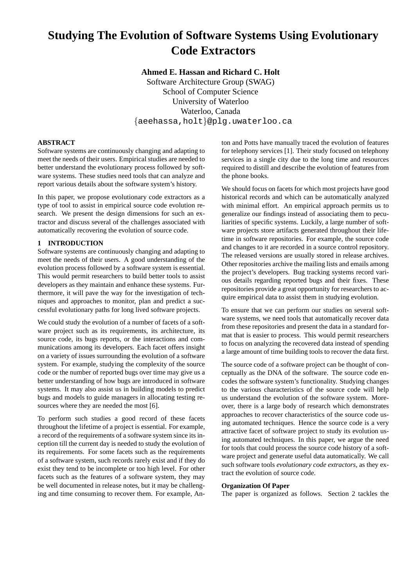# **Studying The Evolution of Software Systems Using Evolutionary Code Extractors**

**Ahmed E. Hassan and Richard C. Holt** Software Architecture Group (SWAG) School of Computer Science University of Waterloo Waterloo, Canada {aeehassa,holt}@plg.uwaterloo.ca

# **ABSTRACT**

Software systems are continuously changing and adapting to meet the needs of their users. Empirical studies are needed to better understand the evolutionary process followed by software systems. These studies need tools that can analyze and report various details about the software system's history.

In this paper, we propose evolutionary code extractors as a type of tool to assist in empirical source code evolution research. We present the design dimensions for such an extractor and discuss several of the challenges associated with automatically recovering the evolution of source code.

# **1 INTRODUCTION**

Software systems are continuously changing and adapting to meet the needs of their users. A good understanding of the evolution process followed by a software system is essential. This would permit researchers to build better tools to assist developers as they maintain and enhance these systems. Furthermore, it will pave the way for the investigation of techniques and approaches to monitor, plan and predict a successful evolutionary paths for long lived software projects.

We could study the evolution of a number of facets of a software project such as its requirements, its architecture, its source code, its bugs reports, or the interactions and communications among its developers. Each facet offers insight on a variety of issues surrounding the evolution of a software system. For example, studying the complexity of the source code or the number of reported bugs over time may give us a better understanding of how bugs are introduced in software systems. It may also assist us in building models to predict bugs and models to guide managers in allocating testing resources where they are needed the most [6].

To perform such studies a good record of these facets throughout the lifetime of a project is essential. For example, a record of the requirements of a software system since its inception till the current day is needed to study the evolution of its requirements. For some facets such as the requirements of a software system, such records rarely exist and if they do exist they tend to be incomplete or too high level. For other facets such as the features of a software system, they may be well documented in release notes, but it may be challenging and time consuming to recover them. For example, Anton and Potts have manually traced the evolution of features for telephony services [1]. Their study focused on telephony services in a single city due to the long time and resources required to distill and describe the evolution of features from the phone books.

We should focus on facets for which most projects have good historical records and which can be automatically analyzed with minimal effort. An empirical approach permits us to generalize our findings instead of associating them to peculiarities of specific systems. Luckily, a large number of software projects store artifacts generated throughout their lifetime in software repositories. For example, the source code and changes to it are recorded in a source control repository. The released versions are usually stored in release archives. Other repositories archive the mailing lists and emails among the project's developers. Bug tracking systems record various details regarding reported bugs and their fixes. These repositories provide a great opportunity for researchers to acquire empirical data to assist them in studying evolution.

To ensure that we can perform our studies on several software systems, we need tools that automatically recover data from these repositories and present the data in a standard format that is easier to process. This would permit researchers to focus on analyzing the recovered data instead of spending a large amount of time building tools to recover the data first.

The source code of a software project can be thought of conceptually as the DNA of the software. The source code encodes the software system's functionality. Studying changes to the various characteristics of the source code will help us understand the evolution of the software system. Moreover, there is a large body of research which demonstrates approaches to recover characteristics of the source code using automated techniques. Hence the source code is a very attractive facet of software project to study its evolution using automated techniques. In this paper, we argue the need for tools that could process the source code history of a software project and generate useful data automatically. We call such software tools *evolutionary code extractors*, as they extract the evolution of source code.

# **Organization Of Paper**

The paper is organized as follows. Section 2 tackles the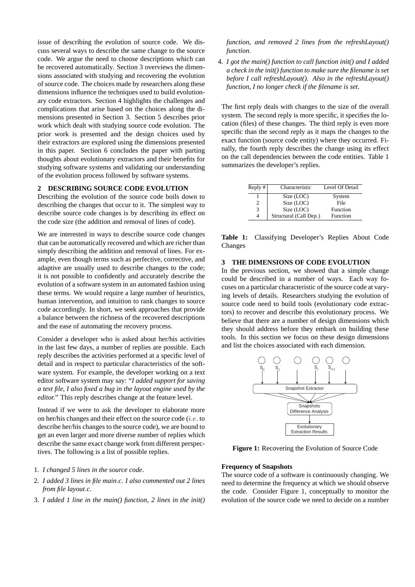issue of describing the evolution of source code. We discuss several ways to describe the same change to the source code. We argue the need to choose descriptions which can be recovered automatically. Section 3 overviews the dimensions associated with studying and recovering the evolution of source code. The choices made by researchers along these dimensions influence the techniques used to build evolutionary code extractors. Section 4 highlights the challenges and complications that arise based on the choices along the dimensions presented in Section 3. Section 5 describes prior work which dealt with studying source code evolution. The prior work is presented and the design choices used by their extractors are explored using the dimensions presented in this paper. Section 6 concludes the paper with parting thoughts about evolutionary extractors and their benefits for studying software systems and validating our understanding of the evolution process followed by software systems.

# **2 DESCRIBING SOURCE CODE EVOLUTION**

Describing the evolution of the source code boils down to describing the changes that occur to it. The simplest way to describe source code changes is by describing its effect on the code size (the addition and removal of lines of code).

We are interested in ways to describe source code changes that can be automatically recovered and which are richer than simply describing the addition and removal of lines. For example, even though terms such as perfective, corrective, and adaptive are usually used to describe changes to the code; it is not possible to confidently and accurately describe the evolution of a software system in an automated fashion using these terms. We would require a large number of heuristics, human intervention, and intuition to rank changes to source code accordingly. In short, we seek approaches that provide a balance between the richness of the recovered descriptions and the ease of automating the recovery process.

Consider a developer who is asked about her/his activities in the last few days, a number of replies are possible. Each reply describes the activities performed at a specific level of detail and in respect to particular characteristics of the software system. For example, the developer working on a text editor software system may say: "*I added support for saving a text file, I also fixed a bug in the layout engine used by the editor.*" This reply describes change at the feature level.

Instead if we were to ask the developer to elaborate more on her/his changes and their effect on the source code (i.e. to describe her/his changes to the source code), we are bound to get an even larger and more diverse number of replies which describe the same exact change work from different perspectives. The following is a list of possible replies.

- 1. *I changed 5 lines in the source code*.
- 2. *I added 3 lines in file main*.*c. I also commented out 2 lines from file layout*.*c*.
- 3. *I added 1 line in the main() function, 2 lines in the init()*

*function, and removed 2 lines from the refreshLayout() function*.

4. *I got the main() function to call function init() and I added a check in the init() function to make sure the filename is set before I call refreshLayout(). Also in the refreshLayout() function, I no longer check if the filename is set*.

The first reply deals with changes to the size of the overall system. The second reply is more specific, it specifies the location (files) of these changes. The third reply is even more specific than the second reply as it maps the changes to the exact function (source code entity) where they occurred. Finally, the fourth reply describes the change using its effect on the call dependencies between the code entities. Table 1 summarizes the developer's replies.

| Reply # | Characteristic         | Level Of Detail |
|---------|------------------------|-----------------|
|         | Size (LOC)             | System          |
|         | Size (LOC)             | File            |
|         | Size (LOC)             | Function        |
|         | Structural (Call Dep.) | Function        |

**Table 1:** Classifying Developer's Replies About Code Changes

# **3 THE DIMENSIONS OF CODE EVOLUTION**

In the previous section, we showed that a simple change could be described in a number of ways. Each way focuses on a particular characteristic of the source code at varying levels of details. Researchers studying the evolution of source code need to build tools (evolutionary code extractors) to recover and describe this evolutionary process. We believe that there are a number of design dimensions which they should address before they embark on building these tools. In this section we focus on these design dimensions and list the choices associated with each dimension.



**Figure 1:** Recovering the Evolution of Source Code

#### **Frequency of Snapshots**

The source code of a software is continuously changing. We need to determine the frequency at which we should observe the code. Consider Figure 1, conceptually to monitor the evolution of the source code we need to decide on a number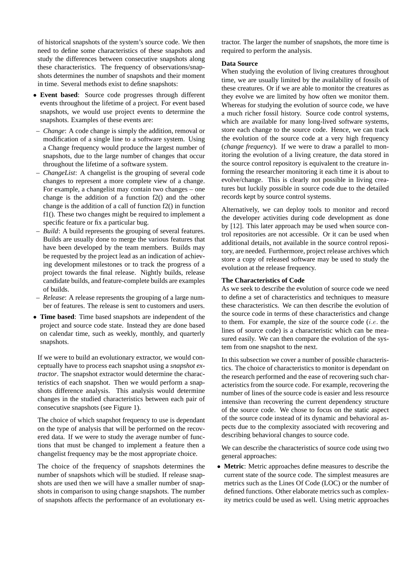of historical snapshots of the system's source code. We then need to define some characteristics of these snapshots and study the differences between consecutive snapshots along these characteristics. The frequency of observations/snapshots determines the number of snapshots and their moment in time. Several methods exist to define snapshots:

- **Event based**: Source code progresses through different events throughout the lifetime of a project. For event based snapshots, we would use project events to determine the snapshots. Examples of these events are:
- *Change*: A code change is simply the addition, removal or modification of a single line to a software system. Using a Change frequency would produce the largest number of snapshots, due to the large number of changes that occur throughout the lifetime of a software system.
- *ChangeList*: A changelist is the grouping of several code changes to represent a more complete view of a change. For example, a changelist may contain two changes – one change is the addition of a function f2() and the other change is the addition of a call of function f2() in function f1(). These two changes might be required to implement a specific feature or fix a particular bug.
- *Build*: A build represents the grouping of several features. Builds are usually done to merge the various features that have been developed by the team members. Builds may be requested by the project lead as an indication of achieving development milestones or to track the progress of a project towards the final release. Nightly builds, release candidate builds, and feature-complete builds are examples of builds.
- *Release*: A release represents the grouping of a large number of features. The release is sent to customers and users.
- **Time based**: Time based snapshots are independent of the project and source code state. Instead they are done based on calendar time, such as weekly, monthly, and quarterly snapshots.

If we were to build an evolutionary extractor, we would conceptually have to process each snapshot using a *snapshot extractor*. The snapshot extractor would determine the characteristics of each snapshot. Then we would perform a snapshots difference analysis. This analysis would determine changes in the studied characteristics between each pair of consecutive snapshots (see Figure 1).

The choice of which snapshot frequency to use is dependant on the type of analysis that will be performed on the recovered data. If we were to study the average number of functions that must be changed to implement a feature then a changelist frequency may be the most appropriate choice.

The choice of the frequency of snapshots determines the number of snapshots which will be studied. If release snapshots are used then we will have a smaller number of snapshots in comparison to using change snapshots. The number of snapshots affects the performance of an evolutionary extractor. The larger the number of snapshots, the more time is required to perform the analysis.

# **Data Source**

When studying the evolution of living creatures throughout time, we are usually limited by the availability of fossils of these creatures. Or if we are able to monitor the creatures as they evolve we are limited by how often we monitor them. Whereas for studying the evolution of source code, we have a much richer fossil history. Source code control systems, which are available for many long-lived software systems, store each change to the source code. Hence, we can track the evolution of the source code at a very high frequency (*change frequency*). If we were to draw a parallel to monitoring the evolution of a living creature, the data stored in the source control repository is equivalent to the creature informing the researcher monitoring it each time it is about to evolve/change. This is clearly not possible in living creatures but luckily possible in source code due to the detailed records kept by source control systems.

Alternatively, we can deploy tools to monitor and record the developer activities during code development as done by [12]. This later approach may be used when source control repositories are not accessible. Or it can be used when additional details, not available in the source control repository, are needed. Furthermore, project release archives which store a copy of released software may be used to study the evolution at the release frequency.

# **The Characteristics of Code**

As we seek to describe the evolution of source code we need to define a set of characteristics and techniques to measure these characteristics. We can then describe the evolution of the source code in terms of these characteristics and change to them. For example, the size of the source code  $(i.e.$  the lines of source code) is a characteristic which can be measured easily. We can then compare the evolution of the system from one snapshot to the next.

In this subsection we cover a number of possible characteristics. The choice of characteristics to monitor is dependant on the research performed and the ease of recovering such characteristics from the source code. For example, recovering the number of lines of the source code is easier and less resource intensive than recovering the current dependency structure of the source code. We chose to focus on the static aspect of the source code instead of its dynamic and behavioral aspects due to the complexity associated with recovering and describing behavioral changes to source code.

We can describe the characteristics of source code using two general approaches:

• **Metric**: Metric approaches define measures to describe the current state of the source code. The simplest measures are metrics such as the Lines Of Code (LOC) or the number of defined functions. Other elaborate metrics such as complexity metrics could be used as well. Using metric approaches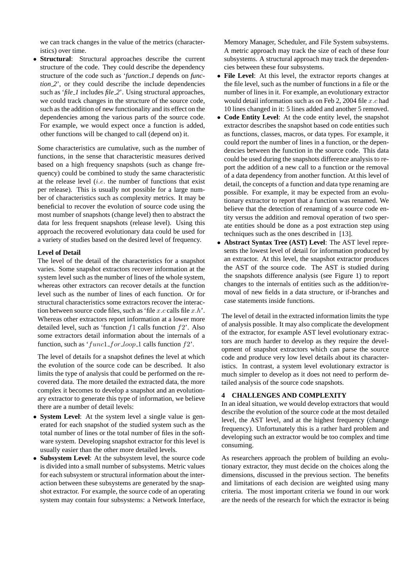we can track changes in the value of the metrics (characteristics) over time.

• **Structural**: Structural approaches describe the current structure of the code. They could describe the dependency structure of the code such as '*function 1* depends on *function 2*', or they could describe the include dependencies such as '*file 1* includes *file 2*'. Using structural approaches, we could track changes in the structure of the source code, such as the addition of new functionality and its effect on the dependencies among the various parts of the source code. For example, we would expect once a function is added, other functions will be changed to call (depend on) it.

Some characteristics are cumulative, such as the number of functions, in the sense that characteristic measures derived based on a high frequency snapshots (such as change frequency) could be combined to study the same characteristic at the release level  $(i.e.$  the number of functions that exist per release). This is usually not possible for a large number of characteristics such as complexity metrics. It may be beneficial to recover the evolution of source code using the most number of snapshots (change level) then to abstract the data for less frequent snapshots (release level). Using this approach the recovered evolutionary data could be used for a variety of studies based on the desired level of frequency.

#### **Level of Detail**

The level of the detail of the characteristics for a snapshot varies. Some snapshot extractors recover information at the system level such as the number of lines of the whole system, whereas other extractors can recover details at the function level such as the number of lines of each function. Or for structural characteristics some extractors recover the interaction between source code files, such as 'file  $x.c$  calls file  $x.h$ '. Whereas other extractors report information at a lower more detailed level, such as 'function  $f1$  calls function  $f2'$ . Also some extractors detail information about the internals of a function, such as ' $func1\_for\_loop\_1$  calls function  $f2'$ .

The level of details for a snapshot defines the level at which the evolution of the source code can be described. It also limits the type of analysis that could be performed on the recovered data. The more detailed the extracted data, the more complex it becomes to develop a snapshot and an evolutionary extractor to generate this type of information, we believe there are a number of detail levels:

- **System Level**: At the system level a single value is generated for each snapshot of the studied system such as the total number of lines or the total number of files in the software system. Developing snapshot extractor for this level is usually easier than the other more detailed levels.
- **Subsystem Level**: At the subsystem level, the source code is divided into a small number of subsystems. Metric values for each subsystem or structural information about the interaction between these subsystems are generated by the snapshot extractor. For example, the source code of an operating system may contain four subsystems: a Network Interface,

Memory Manager, Scheduler, and File System subsystems. A metric approach may track the size of each of these four subsystems. A structural approach may track the dependencies between these four subsystems.

- **File Level**: At this level, the extractor reports changes at the file level, such as the number of functions in a file or the number of lines in it. For example, an evolutionary extractor would detail information such as on Feb 2, 2004 file  $x.c$  had 10 lines changed in it: 5 lines added and another 5 removed.
- **Code Entity Level**: At the code entity level, the snapshot extractor describes the snapshot based on code entities such as functions, classes, macros, or data types. For example, it could report the number of lines in a function, or the dependencies between the function in the source code. This data could be used during the snapshots difference analysis to report the addition of a new call to a function or the removal of a data dependency from another function. At this level of detail, the concepts of a function and data type renaming are possible. For example, it may be expected from an evolutionary extractor to report that a function was renamed. We believe that the detection of renaming of a source code entity versus the addition and removal operation of two sperate entities should be done as a post extraction step using techniques such as the ones described in [13].
- **Abstract Syntax Tree (AST) Level**: The AST level represents the lowest level of detail for information produced by an extractor. At this level, the snapshot extractor produces the AST of the source code. The AST is studied during the snapshots difference analysis (see Figure 1) to report changes to the internals of entities such as the addition/removal of new fields in a data structure, or if-branches and case statements inside functions.

The level of detail in the extracted information limits the type of analysis possible. It may also complicate the development of the extractor, for example AST level evolutionary extractors are much harder to develop as they require the development of snapshot extractors which can parse the source code and produce very low level details about its characteristics. In contrast, a system level evolutionary extractor is much simpler to develop as it does not need to perform detailed analysis of the source code snapshots.

# **4 CHALLENGES AND COMPLEXITY**

In an ideal situation, we would develop extractors that would describe the evolution of the source code at the most detailed level, the AST level, and at the highest frequency (change frequency). Unfortunately this is a rather hard problem and developing such an extractor would be too complex and time consuming.

As researchers approach the problem of building an evolutionary extractor, they must decide on the choices along the dimensions, discussed in the previous section. The benefits and limitations of each decision are weighted using many criteria. The most important criteria we found in our work are the needs of the research for which the extractor is being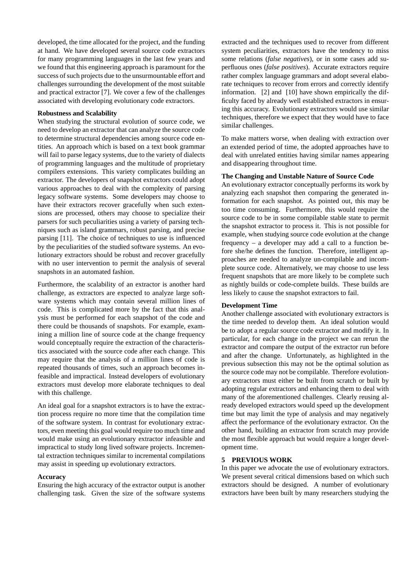developed, the time allocated for the project, and the funding at hand. We have developed several source code extractors for many programming languages in the last few years and we found that this engineering approach is paramount for the success of such projects due to the unsurmountable effort and challenges surrounding the development of the most suitable and practical extractor [7]. We cover a few of the challenges associated with developing evolutionary code extractors.

#### **Robustness and Scalability**

When studying the structural evolution of source code, we need to develop an extractor that can analyze the source code to determine structural dependencies among source code entities. An approach which is based on a text book grammar will fail to parse legacy systems, due to the variety of dialects of programming languages and the multitude of proprietary compilers extensions. This variety complicates building an extractor. The developers of snapshot extractors could adopt various approaches to deal with the complexity of parsing legacy software systems. Some developers may choose to have their extractors recover gracefully when such extensions are processed, others may choose to specialize their parsers for such peculiarities using a variety of parsing techniques such as island grammars, robust parsing, and precise parsing [11]. The choice of techniques to use is influenced by the peculiarities of the studied software systems. An evolutionary extractors should be robust and recover gracefully with no user intervention to permit the analysis of several snapshots in an automated fashion.

Furthermore, the scalability of an extractor is another hard challenge, as extractors are expected to analyze large software systems which may contain several million lines of code. This is complicated more by the fact that this analysis must be performed for each snapshot of the code and there could be thousands of snapshots. For example, examining a million line of source code at the change frequency would conceptually require the extraction of the characteristics associated with the source code after each change. This may require that the analysis of a million lines of code is repeated thousands of times, such an approach becomes infeasible and impractical. Instead developers of evolutionary extractors must develop more elaborate techniques to deal with this challenge.

An ideal goal for a snapshot extractors is to have the extraction process require no more time that the compilation time of the software system. In contrast for evolutionary extractors, even meeting this goal would require too much time and would make using an evolutionary extractor infeasible and impractical to study long lived software projects. Incremental extraction techniques similar to incremental compilations may assist in speeding up evolutionary extractors.

# **Accuracy**

Ensuring the high accuracy of the extractor output is another challenging task. Given the size of the software systems extracted and the techniques used to recover from different system peculiarities, extractors have the tendency to miss some relations (*false negatives*), or in some cases add superfluous ones (*false positives*). Accurate extractors require rather complex language grammars and adopt several elaborate techniques to recover from errors and correctly identify information. [2] and [10] have shown empirically the difficulty faced by already well established extractors in ensuring this accuracy. Evolutionary extractors would use similar techniques, therefore we expect that they would have to face similar challenges.

To make matters worse, when dealing with extraction over an extended period of time, the adopted approaches have to deal with unrelated entities having similar names appearing and disappearing throughout time.

## **The Changing and Unstable Nature of Source Code**

An evolutionary extractor conceptually performs its work by analyzing each snapshot then comparing the generated information for each snapshot. As pointed out, this may be too time consuming. Furthermore, this would require the source code to be in some compilable stable state to permit the snapshot extractor to process it. This is not possible for example, when studying source code evolution at the change frequency – a developer may add a call to a function before she/he defines the function. Therefore, intelligent approaches are needed to analyze un-compilable and incomplete source code. Alternatively, we may choose to use less frequent snapshots that are more likely to be complete such as nightly builds or code-complete builds. These builds are less likely to cause the snapshot extractors to fail.

#### **Development Time**

Another challenge associated with evolutionary extractors is the time needed to develop them. An ideal solution would be to adopt a regular source code extractor and modify it. In particular, for each change in the project we can rerun the extractor and compare the output of the extractor run before and after the change. Unfortunately, as highlighted in the previous subsection this may not be the optimal solution as the source code may not be compilable. Therefore evolutionary extractors must either be built from scratch or built by adopting regular extractors and enhancing them to deal with many of the aforementioned challenges. Clearly reusing already developed extractors would speed up the development time but may limit the type of analysis and may negatively affect the performance of the evolutionary extractor. On the other hand, building an extractor from scratch may provide the most flexible approach but would require a longer development time.

#### **5 PREVIOUS WORK**

In this paper we advocate the use of evolutionary extractors. We present several critical dimensions based on which such extractors should be designed. A number of evolutionary extractors have been built by many researchers studying the